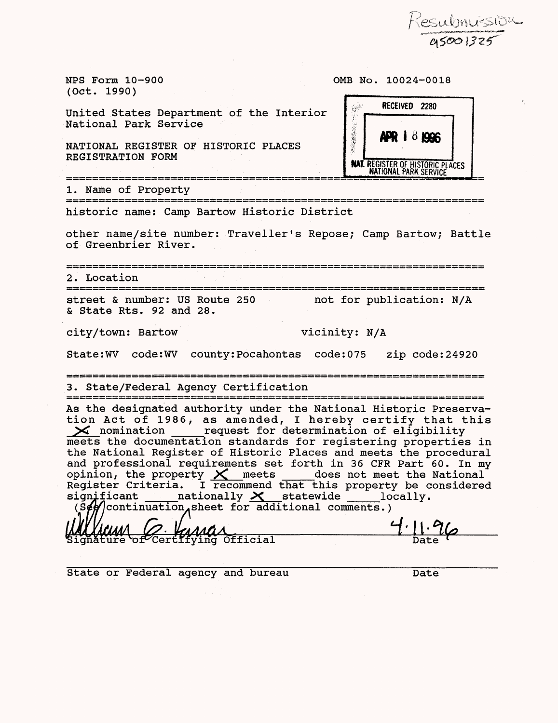Kesubnuission<br>Orgoo1325

NPS Form 10-900 (Oct. 1990)

OMB No. 10024-0018



REGISTRATION FORM

United States Department of the Interior

National Park Service

1. Name of Property historic name: Camp Bartow Historic District

other name/site number: Traveller's Repose; Camp Bartow; Battle of Greenbrier River.

2. Location street & number: US Route 250 not for publication: N/A & State Rts. 92 and 28.

city/town: Bartow vicinity: N/A

State :WV code:WV county :Pocahontas code: 075 zip code: 24920

3. State/Federal Agency Certification 

As the designated authority under the National Historic Preservation Act of 1986, as amended, I hereby certify that this **><** nomination \_\_\_ request for determination of eligibility meets the documentation standards for registering properties in the National Register of Historic Places and meets the procedural and professional requirements set forth in 36 CFR Part 60. In my and professional requirements set forth in 36 CFR Part 60. In my<br>opinion, the property  $\chi$  meets does not meet the National Register Criteria. I recommend that this property be considered significant \_\_\_\_\_ nationally  $\times$  statewide \_\_\_\_\_ locally.  $c_s$  (s $\epsilon$ ) continuation sheet for additional comments.)

i Gramman Coronal Coronal Coronal Date Coronal Date Coronal Date Coronal Date Coronal Date Coronal Date Coronal<br>Date Coronal Date Coronal Date Coronal Date Coronal Date Coronal Date Coronal Date Coronal Date Coronal Date C

Date

State or Federal agency and bureau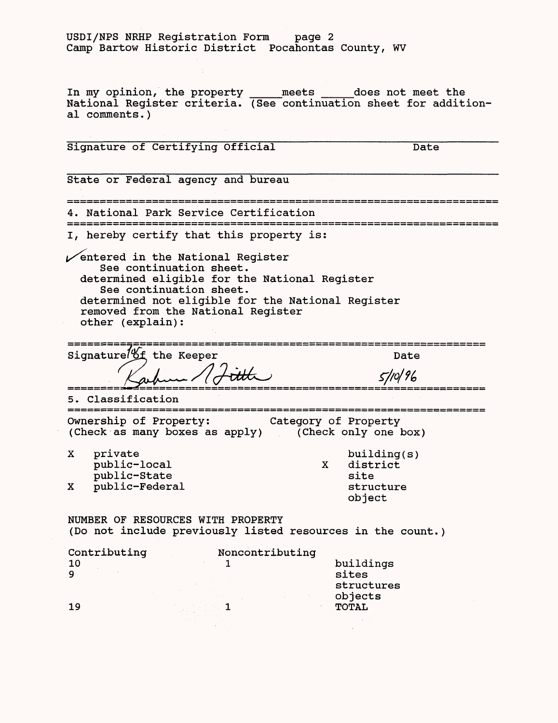# USDI/NPS NRHP Registration Form page 2 Camp Bartow Historic District Pocahontas County, WV

In my opinion, the property \_\_\_meets *\_\_\_\_\_\_*does not meet the National Register criteria. (See continuation sheet for additional comments.)

Signature of Certifying Official Date State or Federal agency and bureau 4. National Park Service Certification I, hereby certify that this property is:  $\sqrt{\ }$ entered in the National Register See continuation sheet, determined eligible for the National Register See continuation sheet. determined not eligible for the National Register removed from the National Register other (explain):  $= 100$ Signature of the Keeper Date 5/10/96 5. Classification Ownership of Property: Category of Property (Check as many boxes as apply) (Check only one box) X private building(s)<br>public-local x district public-local X distributic-state  $\begin{array}{ccc} x & \text{dist} \\ y & \text{dist} \end{array}$ public-State site<br>
public-Federal structure X public-Federal object NUMBER OF RESOURCES WITH PROPERTY (Do not include previously listed resources in the count.) Contributing Noncontributing<br>10 1 10 buildings<br>9 sites 9 sites and the state of the state of the state  $\mathbf s$ structures objects 19 1 TOTAL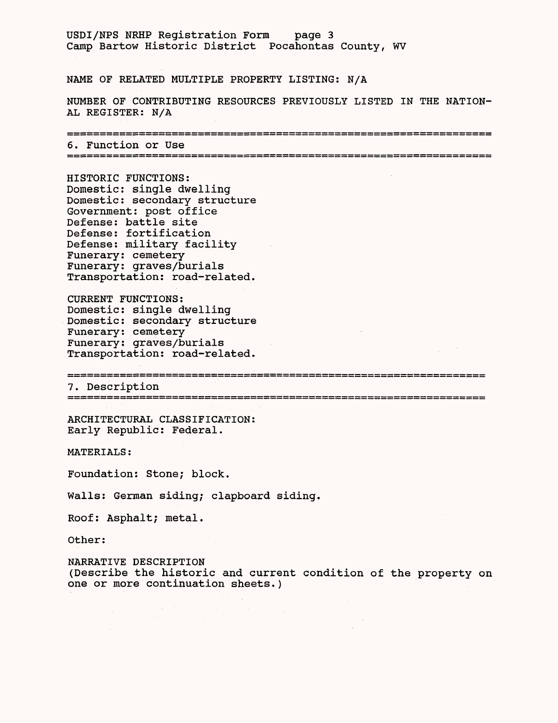# USDI/NPS NRHP Registration Form page 3 Camp Bartow Historic District Pocahontas County, WV

NAME OF RELATED MULTIPLE PROPERTY LISTING: N/A

NUMBER OF CONTRIBUTING RESOURCES PREVIOUSLY LISTED IN THE NATION-AL REGISTER: N/A

6. Function or Use

HISTORIC FUNCTIONS: Domestic: single dwelling Domestic: secondary structure Government: post office Defense: battle site Defense: fortification Defense: military facility Funerary: cemetery Funerary: graves/burials Transportation: road-related.

CURRENT FUNCTIONS: Domestic: single dwelling Domestic: secondary structure Funerary: cemetery Funerary: graves/burials Transportation: road-related.

7. Description

ARCHITECTURAL CLASSIFICATION: Early Republic: Federal.

MATERIALS:

Foundation: Stone; block.

Walls: German siding; clapboard siding.

Roof: Asphalt; metal.

Other:

NARRATIVE DESCRIPTION (Describe the historic and current condition of the property on one or more continuation sheets.)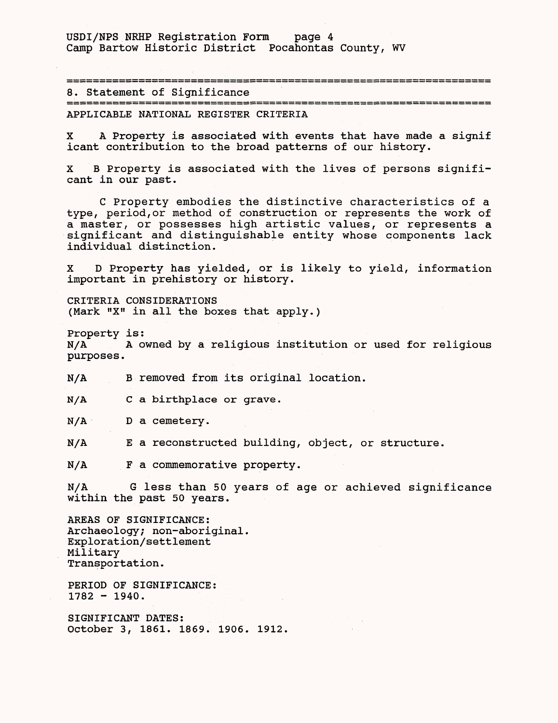USDI/NPS NRHP Registration Form page 4 Camp Bartow Historic District Pocahontas County, WV

8. Statement of Significance APPLICABLE NATIONAL REGISTER CRITERIA

X A Property is associated with events that have made a signif icant contribution to the broad patterns of our history.

X B Property is associated with the lives of persons significant in our past.

C Property embodies the distinctive characteristics of a type, period,or method of construction or represents the work of a master, or possesses high artistic values, or represents a significant and distinguishable entity whose components lack individual distinction.

X D Property has yielded, or is likely to yield, information important in prehistory or history.

CRITERIA CONSIDERATIONS (Mark "X" in all the boxes that apply.)

Property is: N/A A owned by a religious institution or used for religious purposes.

N/A B removed from its original location.

N/A C a birthplace or grave.

N/A D a cemetery.

N/A E a reconstructed building, object, or structure.

N/A F a commemorative property.

N/A G less than 50 years of age or achieved significance within the past 50 years.

AREAS OF SIGNIFICANCE: Archaeology; non-aboriginal. Exploration/settlement Military Transportation.

PERIOD OF SIGNIFICANCE:  $1782 - 1940$ .

SIGNIFICANT DATES: October 3, 1861. 1869. 1906. 1912.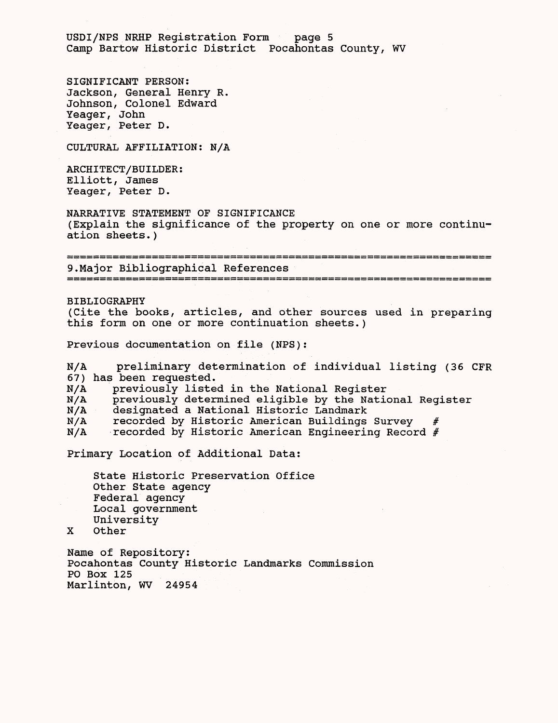USDI/NFS NRHP Registration Form page 5 Camp Bartow Historic District Pocahontas County, WV

SIGNIFICANT PERSON: Jackson, General Henry R. Johnson, Colonel Edward Yeager, John Yeager, Peter D.

CULTURAL AFFILIATION: N/A

ARCHITECT/BUILDER: Elliott, James Yeager, Peter D.

NARRATIVE STATEMENT OF SIGNIFICANCE (Explain the significance of the property on one or more continuation sheets.)

9.Major Bibliographical References

BIBLIOGRAPHY (Cite the books, articles, and other sources used in preparing this form on one or more continuation sheets.)

Previous documentation on file (NPS):

N/A preliminary determination of individual listing (36 CFR 67) has been requested.

N/A previously listed in the National Register

N/A previously determined eligible by the National Register

N/A designated a National Historic Landmark

N/A recorded by Historic American Buildings Survey

N/A recorded by Historic American Engineering Record #

Primary Location of Additional Data:

State Historic Preservation Office Other State agency Federal agency Local government University

X Other

Name of Repository: Pocahontas County Historic Landmarks Commission PO Box 125 Marlinton, WV 24954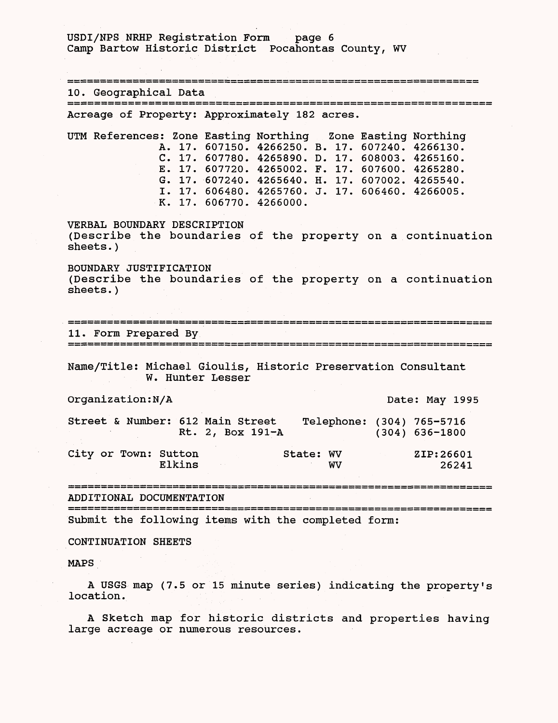USDI/NPS NRHP Registration Form page 6 Camp Bartow Historic District Pocahontas County, WV 10. Geographical Data Acreage of Property: Approximately 182 acres. UTM References: Zone Easting Northing Zone Easting Northing A. 17. 607150. 4266250. B. 17. 607240. 4266130. C. 17. 607780. 4265890. D. 17. 608003. 4265160. E. 17. 607720. 4265002. F. 17. 607600. 4265280. G. 17. 607240. 4265640. H. 17. 607002. 4265540. I. 17. 606480. 4265760. J. 17. 606460. 4266005. K. 17. 606770. 4266000. VERBAL BOUNDARY DESCRIPTION (Describe the boundaries of the property on a continuation sheets.) BOUNDARY JUSTIFICATION (Describe the boundaries of the property on a continuation sheets.) 11. Form Prepared By Name/Title: Michael Gioulis, Historic Preservation Consultant W. Hunter Lesser Organization: N/A Date: May 1995 Street & Number: 612 Main Street Telephone: (304) 765-5716<br>Rt. 2, Box 191-A (304) 636-1800 Rt. 2, Box 191-A City or Town: Sutton State: WV ZIP:26601<br>Elkins WV 26241 Elkins WV 26241 ADDITIONAL DOCUMENTATION Submit the following items with the completed form: CONTINUATION SHEETS MAPS

A USGS map (7.5 or 15 minute series) indicating the property's location.

A Sketch map for historic districts and properties having large acreage or numerous resources.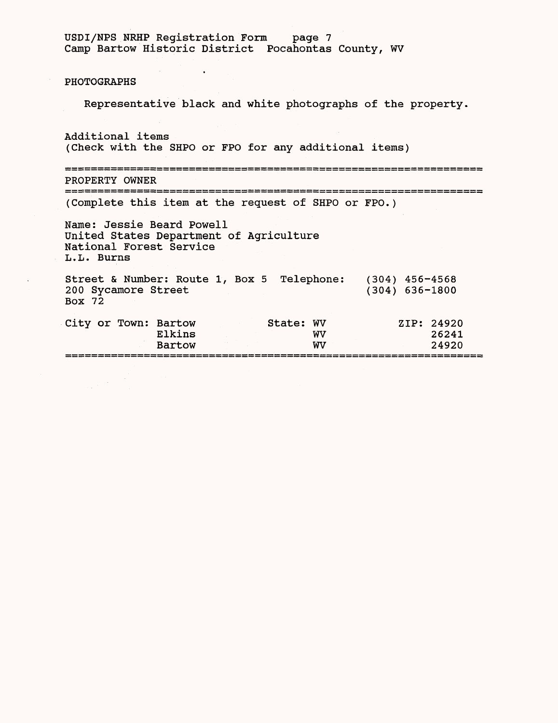|                                                                                            | USDI/NPS NRHP Registration Form<br>Camp Bartow Historic District Pocahontas County, WV | page 7 |                  |
|--------------------------------------------------------------------------------------------|----------------------------------------------------------------------------------------|--------|------------------|
| PHOTOGRAPHS                                                                                |                                                                                        |        |                  |
|                                                                                            | Representative black and white photographs of the property.                            |        |                  |
| Additional items                                                                           | (Check with the SHPO or FPO for any additional items)                                  |        |                  |
| PROPERTY OWNER                                                                             |                                                                                        |        |                  |
|                                                                                            | (Complete this item at the request of SHPO or FPO.)                                    |        |                  |
| Name: Jessie Beard Powell<br>National Forest Service<br>L.L. Burns                         | United States Department of Agriculture                                                |        |                  |
|                                                                                            |                                                                                        |        |                  |
| Street & Number: Route 1, Box 5 Telephone: (304) 456-4568<br>200 Sycamore Street<br>Box 72 |                                                                                        |        | $(304)$ 636-1800 |

==================<br>=<br>=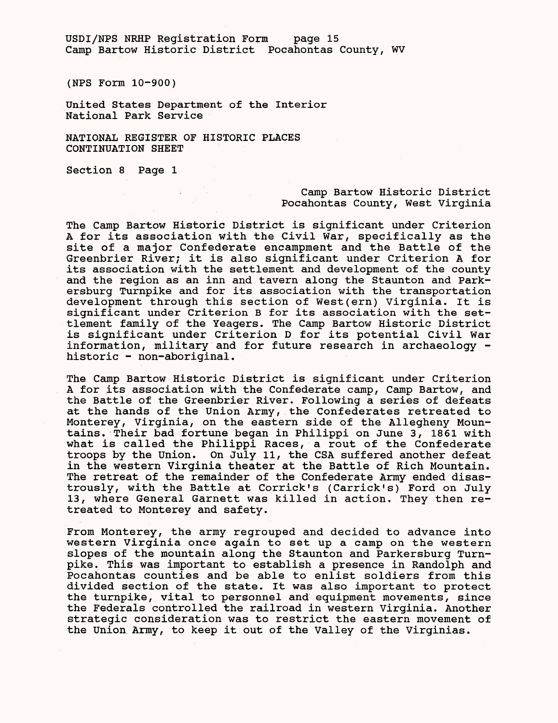USDI/NPS NRHP Registration Form page 15 Camp Bartow Historic District Pocahontas County, WV

(NPS Form 10-900)

United States Department of the Interior National Park Service

NATIONAL REGISTER OF HISTORIC PLACES CONTINUATION SHEET

Section 8 Page 1

# Camp Bartow Historic District Pocahontas County, West Virginia

The Camp Bartow Historic District is significant under Criterion A for its association with the Civil War, specifically as the site of a major Confederate encampment and the Battle of the Greenbrier River; it is also significant under Criterion A for its association with the settlement and development of the county and the region as an inn and tavern along the Staunton and Parkersburg Turnpike and for its association with the transportation development through this section of West(ern) Virginia. It is significant under Criterion B for its association with the settlement family of the Yeagers. The Camp Bartow Historic District is significant under Criterion D for its potential Civil War information, military and for future research in archaeology historic - non-aboriginal.

The Camp Bartow Historic District is significant under Criterion A for its association with the Confederate camp, Camp Bartow, and the Battle of the Greenbrier River. Following a series of defeats at the hands of the Union Army, the Confederates retreated to Monterey, Virginia, on the eastern side of the Allegheny Mountains. Their bad fortune began in Philippi on June 3, 1861 with what is called the Philippi Races, a rout of the Confederate troops by the Union. On July 11, the CSA suffered another defeat in the western Virginia theater at the Battle of Rich Mountain. The retreat of the remainder of the Confederate Army ended disastrously, with the Battle at Corrick's (Carrick's) Ford on July 13, where General Garnett was killed in action. They then retreated to Monterey and safety.

From Monterey, the army regrouped and decided to advance into western Virginia once again to set up a camp on the western slopes of the mountain along the Staunton and Parkersburg Turnpike. This was important to establish a presence in Randolph and Pocahontas counties and be able to enlist soldiers from this divided section of the state. It was also important to protect the turnpike, vital to personnel and equipment movements, since the Federals controlled the railroad in western Virginia. Another strategic consideration was to restrict the eastern movement of the Union Army, to keep it out of the Valley of the Virginias.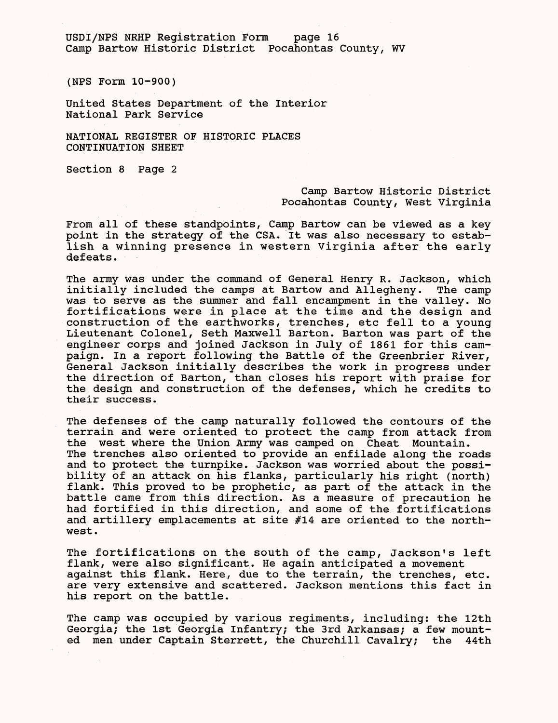USDI/NPS NRHP Registration Form page 16 Camp Bartow Historic District Pocahontas County, WV

(NPS Form 10-900)

United States Department of the Interior National Park Service

NATIONAL REGISTER OF HISTORIC PLACES CONTINUATION SHEET

Section 8 Page 2

# Camp Bartow Historic District Pocahontas County, West Virginia

From all of these standpoints, Camp Bartow can be viewed as a key point in the strategy of the CSA. It was also necessary to establish a winning presence in western Virginia after the early defeats.

The army was under the command of General Henry R. Jackson, which initially included the camps at Bartow and Allegheny. The camp was to serve as the summer and fall encampment in the valley. No fortifications were in place at the time and the design and construction of the earthworks, trenches, etc fell to a young Lieutenant Colonel, Seth Maxwell Barton. Barton was part of the engineer corps and joined Jackson in July of 1861 for this campaign. In a report following the Battle of the Greenbrier River, General Jackson initially describes the work in progress under the direction of Barton, than closes his report with praise for the design and construction of the defenses, which he credits to their success.

The defenses of the camp naturally followed the contours of the terrain and were oriented to protect the camp from attack from the west where the Union Army was camped on Cheat Mountain. The trenches also oriented to provide an enfilade along the roads and to protect the turnpike. Jackson was worried about the possibility of an attack on his flanks, particularly his right (north) flank. This proved to be prophetic, as part of the attack in the battle came from this direction. As a measure of precaution he had fortified in this direction, and some of the fortifications and artillery emplacements at site #14 are oriented to the northwest.

The fortifications on the south of the camp, Jackson's left flank, were also significant. He again anticipated a movement against this flank. Here, due to the terrain, the trenches, etc. are very extensive and scattered. Jackson mentions this fact in his report on the battle.

The camp was occupied by various regiments, including: the 12th Georgia; the 1st Georgia Infantry; the 3rd Arkansas; a few mounted men under Captain Sterrett, the Churchill Cavalry; the 44th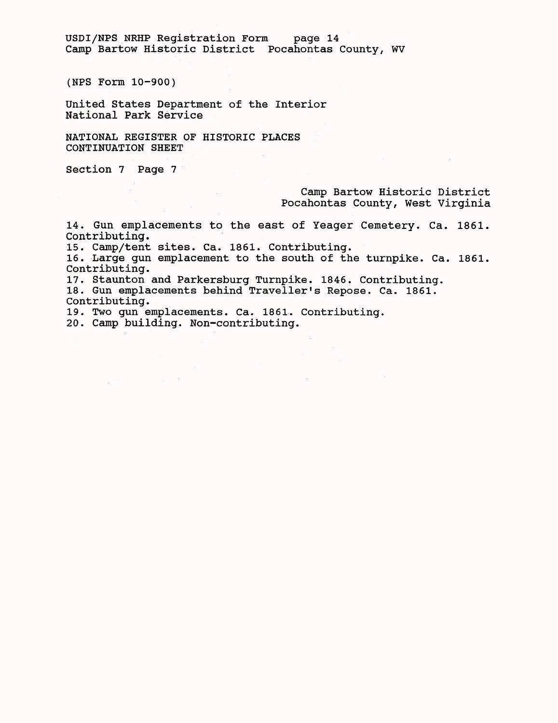USDI/NPS NRHP Registration Form page 14 Camp Bartow Historic District Pocahontas County, WV

(NPS Form 10-900)

United States Department of the Interior National Park Service

NATIONAL REGISTER OF HISTORIC PLACES CONTINUATION SHEET

Section 7 Page 7

Camp Bartow Historic District Pocahontas County, West Virginia

14. Gun emplacements to the east of Yeager Cemetery. Ca. 1861. Contributing.

15. Camp/tent sites. Ca. 1861. Contributing.

 $\sim$ 

16. Large gun emplacement to the south of the turnpike. Ca. 1861. Contributing.

17. Staunton and Parkersburg Turnpike. 1846. Contributing.

18. Gun emplacements behind Traveller's Repose. Ca. 1861. Contributing.

19. Two gun emplacements. Ca. 1861. Contributing.

20. Camp building. Non-contributing.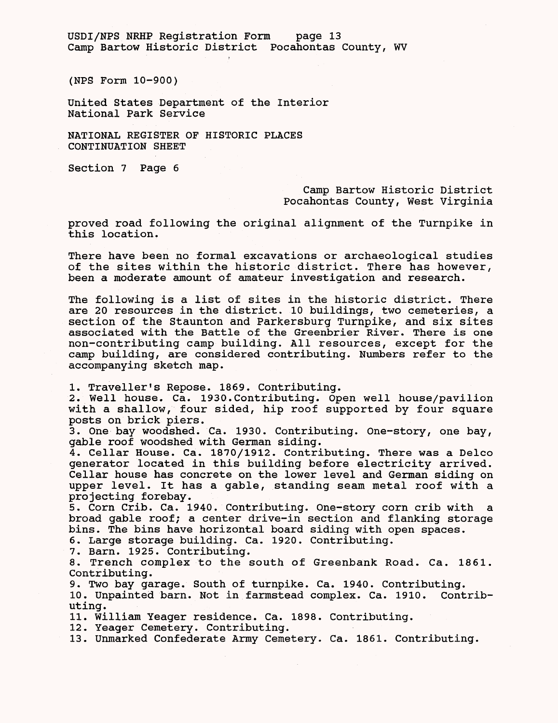USDI/NPS NRHP Registration Form page 13 Camp Bartow Historic District Pocahontas County, WV

(NPS Form 10-900)

United States Department of the Interior National Park Service

NATIONAL REGISTER OF HISTORIC PLACES CONTINUATION SHEET

Section 7 Page 6

Camp Bartow Historic District Pocahontas County, West Virginia

proved road following the original alignment of the Turnpike in this location.

There have been no formal excavations or archaeological studies of the sites within the historic district. There has however, been a moderate amount of amateur investigation and research.

The following is a list of sites in the historic district. There are 20 resources in the district. 10 buildings, two cemeteries, a section of the Staunton and Parkersburg Turnpike, and six sites associated with the Battle of the Greenbrier River. There is one non-contributing camp building. All resources, except for the camp building, are considered contributing. Numbers refer to the accompanying sketch map.

1. Traveller's Repose. 1869. Contributing.

2. Well house. Ca. 1930.Contributing. Open well house/pavilion with a shallow, four sided, hip roof supported by four square posts on brick piers.

3. One bay woodshed. Ca. 1930. Contributing. One-story, one bay, gable roof woodshed with German siding.

4. Cellar House. Ca. 1870/1912. Contributing. There was a Delco generator located in this building before electricity arrived. Cellar house has concrete on the lower level and German siding on upper level. It has a gable, standing seam metal roof with a projecting forebay.

5. Corn Crib. Ca. 1940. Contributing. One-story corn crib with a broad gable roof; a center drive-in section and flanking storage bins. The bins have horizontal board siding with open spaces.

6. Large storage building. Ca. 1920. Contributing.

7. Barn. 1925. Contributing.

8. Trench complex to the south of Greenbank Road. Ca. 1861. Contributing.

9. Two bay garage. South of turnpike. Ca. 1940. Contributing.

10. Unpainted barn. Not in farmstead complex. Ca. 1910. Contributing .

11. William Yeager residence. Ca. 1898. Contributing.

12. Yeager Cemetery. Contributing.

13. Unmarked Confederate Army Cemetery. Ca. 1861. Contributing.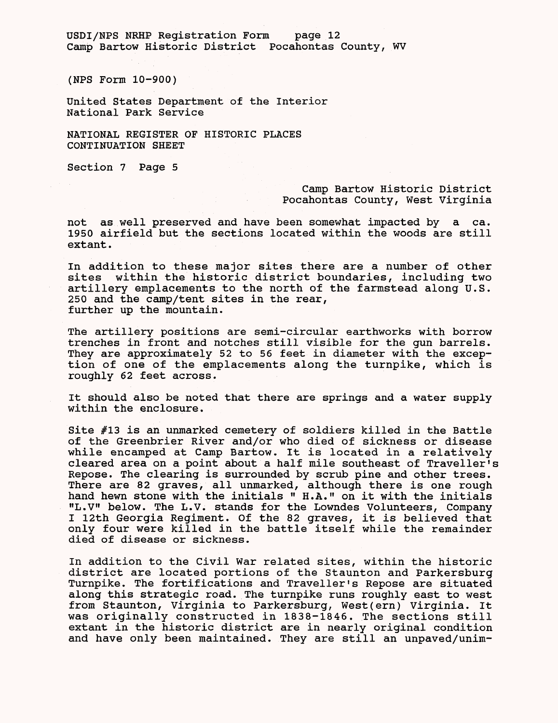USDI/NPS NRHP Registration Form page 12 Camp Bartow Historic District Pocahontas County, WV

(NPS Form 10-900)

United States Department of the Interior National Park Service

NATIONAL REGISTER OF HISTORIC PLACES CONTINUATION SHEET

Section 7 Page 5

#### Camp Bartow Historic District Pocahontas County, West Virginia

not as well preserved and have been somewhat impacted by a ca. 1950 airfield but the sections located within the woods are still extant.

In addition to these major sites there are a number of other sites within the historic district boundaries, including two artillery emplacements to the north of the farmstead along U.S. 250 and the camp/tent sites in the rear, further up the mountain.

The artillery positions are semi-circular earthworks with borrow trenches in front and notches still visible for the gun barrels. They are approximately 52 to 56 feet in diameter with the exception of one of the emplacements along the turnpike, which is roughly 62 feet across.

It should also be noted that there are springs and a water supply within the enclosure.

Site #13 is an unmarked cemetery of soldiers killed in the Battle of the Greenbrier River and/or who died of sickness or disease while encamped at Camp Bartow. It is located in a relatively cleared area on a point about a half mile southeast of Traveller's Repose. The clearing is surrounded by scrub pine and other trees. There are 82 graves, all unmarked, although there is one rough hand hewn stone with the initials " H.A." on it with the initials "L.V" below. The L.V. stands for the Lowndes Volunteers, Company I 12th Georgia Regiment. Of the 82 graves, it is believed that only four were killed in the battle itself while the remainder died of disease or sickness.

In addition to the Civil War related sites, within the historic district are located portions of the Staunton and Parkersburg Turnpike. The fortifications and Traveller's Repose are situated along this strategic road. The turnpike runs roughly east to west from Staunton, Virginia to Parkersburg, West(ern) Virginia. It was originally constructed in 1838-1846. The sections still extant in the historic district are in nearly original condition and have only been maintained. They are still an unpaved/unim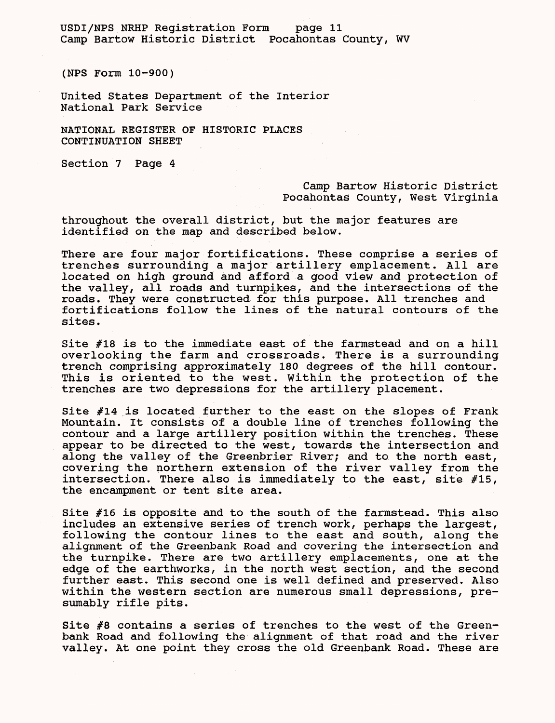USDI/NPS NRHP Registration Form page 11 Camp Bartow Historic District Pocahontas County, WV

(NPS Form 10-900)

United States Department of the Interior National Park Service

NATIONAL REGISTER OF HISTORIC PLACES CONTINUATION SHEET

Section 7 Page 4

Camp Bartow Historic District Pocahontas County, West Virginia

throughout the overall district, but the major features are identified on the map and described below.

There are four major fortifications. These comprise a series of trenches surrounding a major artillery emplacement. All are located on high ground and afford a good view and protection of the valley, all roads and turnpikes, and the intersections of the roads. They were constructed for this purpose. All trenches and fortifications follow the lines of the natural contours of the sites.

Site #18 is to the immediate east of the farmstead and on a hill overlooking the farm and crossroads. There is a surrounding trench comprising approximately 180 degrees of the hill contour. This is oriented to the west. Within the protection of the trenches are two depressions for the artillery placement.

Site  $#14$  is located further to the east on the slopes of Frank Mountain. It consists of a double line of trenches following the contour and a large artillery position within the trenches. These appear to be directed to the west, towards the intersection and along the valley of the Greenbrier River; and to the north east, covering the northern extension of the river valley from the intersection. There also is immediately to the east, site #15, the encampment or tent site area.

Site #16 is opposite and to the south of the farmstead. This also includes an extensive series of trench work, perhaps the largest, following the contour lines to the east and south, along the alignment of the Greenbank Road and covering the intersection and the turnpike. There are two artillery emplacements, one at the edge of the earthworks, in the north west section, and the second further east. This second one is well defined and preserved. Also within the western section are numerous small depressions, presumably rifle pits.

Site #8 contains a series of trenches to the west of the Greenbank Road and following the alignment of that road and the river valley. At one point they cross the old Greenbank Road. These are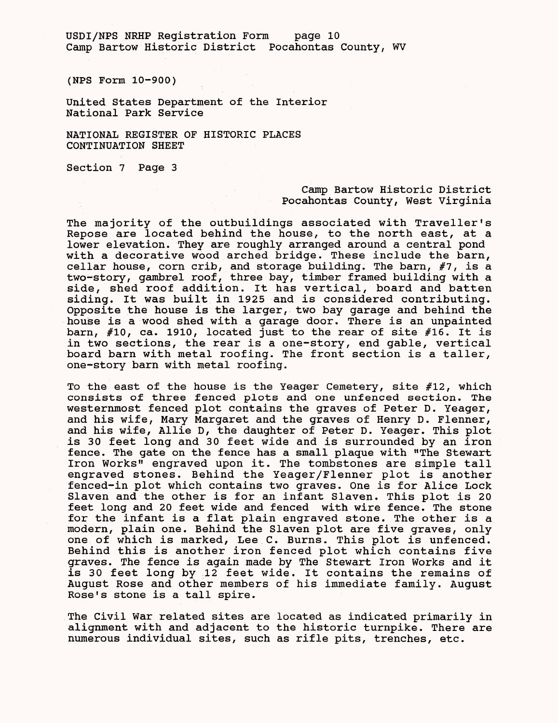USDI/NPS NRHP Registration Form page 10 Camp Bartow Historic District Pocahontas County, WV

(NPS Form 10-900)

United States Department of the Interior National Park Service

NATIONAL REGISTER OF HISTORIC PLACES CONTINUATION SHEET

Section 7 Page 3

#### Camp Bartow Historic District Pocahontas County, West Virginia

The majority of the outbuildings associated with Traveller's Repose are located behind the house, to the north east, at a lower elevation. They are roughly arranged around a central pond with a decorative wood arched bridge. These include the barn, cellar house, corn crib, and storage building. The barn, #7, is a two-story, gambrel roof, three bay, timber framed building with a side, shed roof addition. It has vertical, board and batten siding. It was built in 1925 and is considered contributing. Opposite the house is the larger, two bay garage and behind the house is a wood shed with a garage door. There is an unpainted barn, #10, ca. 1910, located just to the rear of site #16. It is in two sections, the rear is a one-story, end gable, vertical board barn with metal roofing. The front section is a taller, one-story barn with metal roofing.

To the east of the house is the Yeager Cemetery, site #12, which consists of three fenced plots and one unfenced section. The westernmost fenced plot contains the graves of Peter D. Yeager, and his wife, Mary Margaret and the graves of Henry D. Flenner, and his wife, Allie D, the daughter of Peter D. Yeager. This plot is 30 feet long and 30 feet wide and is surrounded by an iron fence. The gate on the fence has a small plaque with "The Stewart Iron Works" engraved upon it. The tombstones are simple tall engraved stones. Behind the Yeager/Flenner plot is another fenced-in plot which contains two graves. One is for Alice Lock Slaven and the other is for an infant Slaven. This plot is 20 feet long and 20 feet wide and fenced with wire fence. The stone for the infant is a flat plain engraved stone. The other is a modern, plain one. Behind the Slaven plot are five graves, only one of which is marked, Lee C. Burns. This plot is unfenced. Behind this is another iron fenced plot which contains five graves. The fence is again made by The Stewart Iron Works and it is 30 feet long by 12 feet wide. It contains the remains of August Rose and other members of his immediate family. August Rose's stone is a tall spire.

The Civil War related sites are located as indicated primarily in alignment with and adjacent to the historic turnpike. There are numerous individual sites, such as rifle pits, trenches, etc.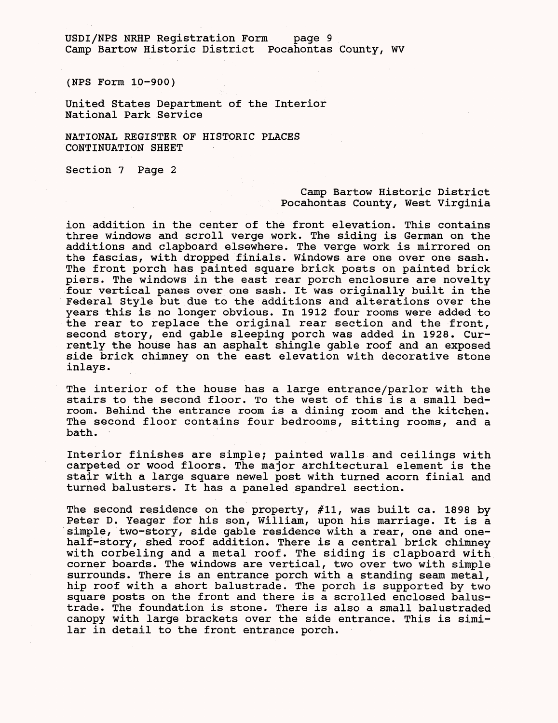USDI/NFS NRHP Registration Form page 9 Camp Bartow Historic District Pocahontas County, WV

(NFS Form 10-900)

United States Department of the Interior National Park Service

NATIONAL REGISTER OF HISTORIC PLACES CONTINUATION SHEET

Section 7 Page 2

#### Camp Bartow Historic District Pocahontas County, West Virginia

ion addition in the center of the front elevation. This contains three windows and scroll verge work. The siding is German on the additions and clapboard elsewhere. The verge work is mirrored on the fascias, with dropped finials. Windows are one over one sash. The front porch has painted square brick posts on painted brick piers. The windows in the east rear porch enclosure are novelty four vertical panes over one sash. It was originally built in the Federal Style but due to the additions and alterations over the years this is no longer obvious. In 1912 four rooms were added to the rear to replace the original rear section and the front, second story, end gable sleeping porch was added in 1928. Currently the house has an asphalt shingle gable roof and an exposed side brick chimney on the east elevation with decorative stone inlays.

The interior of the house has a large entrance/parlor with the stairs to the second floor. To the west of this is a small bedroom. Behind the entrance room is a dining room and the kitchen. The second floor contains four bedrooms, sitting rooms, and a bath.

Interior finishes are simple; painted walls and ceilings with carpeted or wood floors. The major architectural element is the stair with a large square newel post with turned acorn finial and turned balusters. It has a paneled spandrel section.

The second residence on the property, #11, was built ca. 1898 by Peter D. Yeager for his son, William, upon his marriage. It is a simple, two-story, side gable residence with *a* rear, one and onehalf-story, shed roof addition. There is a central brick chimney with corbeling and a metal roof. The siding is clapboard with corner boards. The windows are vertical, two over two with simple surrounds. There is an entrance porch with a standing seam metal, hip roof with a short balustrade. The porch is supported by two square posts on the front and there is a scrolled enclosed balustrade. The foundation is stone. There is also a small balustraded canopy with large brackets over the side entrance. This is similar in detail to the front entrance porch.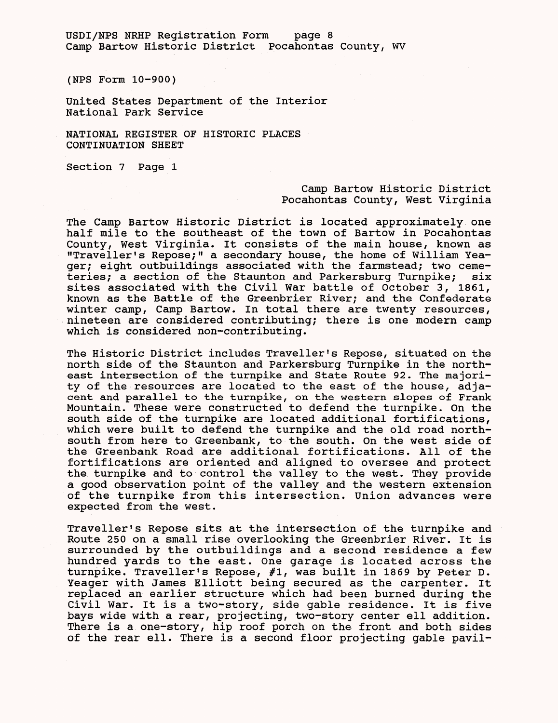USDI/NPS NRHP Registration Form page 8 Camp Bartow Historic District Pocahontas County, WV

(NPS Form 10-900)

United States Department of the Interior National Park Service

NATIONAL REGISTER OF HISTORIC PLACES CONTINUATION SHEET

Section 7 Page 1

### Camp Bartow Historic District Pocahontas County, West Virginia

The Camp Bartow Historic District is located approximately one half mile to the southeast of the town of Bartow in Pocahontas County, West Virginia. It consists of the main house, known as "Traveller's Repose;" a secondary house, the home of William Yeager; eight outbuildings associated with the farmstead; two cemeteries; a section of the Staunton and Parkersburg Turnpike; six sites associated with the Civil War battle of October 3, 1861, known as the Battle of the Greenbrier River; and the Confederate winter camp, Camp Bartow. In total there are twenty resources, nineteen are considered contributing; there is one modern camp which is considered non-contributing.

The Historic District includes Traveller's Repose, situated on the north side of the Staunton and Parkersburg Turnpike in the northeast intersection of the turnpike and State Route 92. The majority of the resources are located to the east of the house, adjacent and parallel to the turnpike, on the western slopes of Frank Mountain. These were constructed to defend the turnpike. On the south side of the turnpike are located additional fortifications, which were built to defend the turnpike and the old road northsouth from here to Greenbank, to the south. On the west side of the Greenbank Road are additional fortifications. All of the fortifications are oriented and aligned to oversee and protect the turnpike and to control the valley to the west. They provide a good observation point of the valley and the western extension of the turnpike from this intersection. Union advances were expected from the west.

Traveller's Repose sits at the intersection of the turnpike and Route 250 on a small rise overlooking the Greenbrier River. It is surrounded by the outbuildings and a second residence a few hundred yards to the east. One garage is located across the turnpike. Traveller's Repose, #1, was built in 1869 by Peter D. Yeager with James Elliott being secured as the carpenter. It replaced an earlier structure which had been burned during the Civil War. It is a two-story, side gable residence. It is five bays wide with a rear, projecting, two-story center ell addition. There is a one-story, hip roof porch on the front and both sides of the rear ell. There is a second floor projecting gable pavil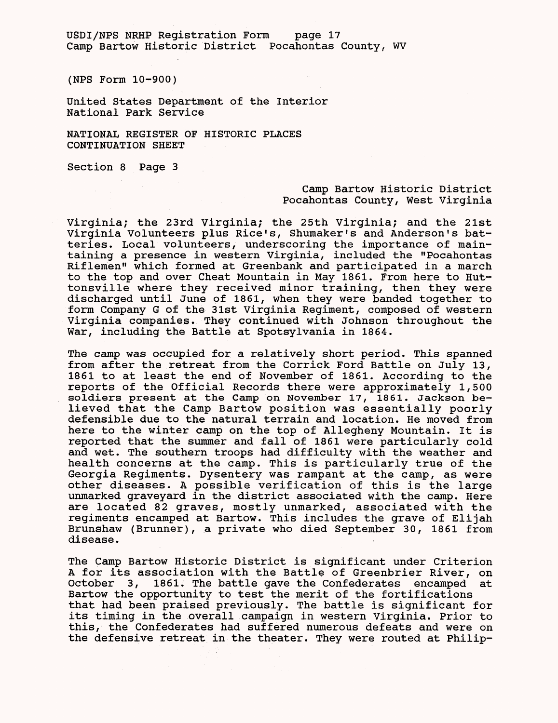USDI/NFS NRHP Registration Form page 17 Camp Bartow Historic District Pocahontas County, WV

(NFS Form 10-900)

United States Department of the Interior National Park Service

NATIONAL REGISTER OF HISTORIC PLACES CONTINUATION SHEET

Section 8 Page 3

#### Camp Bartow Historic District Pocahontas County, West Virginia

Virginia; the 23rd Virginia; the 25th Virginia; and the 21st Virginia Volunteers plus Rice's, Shumaker's and Anderson's batteries. Local volunteers, underscoring the importance of maintaining a presence in western Virginia, included the "Pocahontas Riflemen" which formed at Greenbank and participated in a march to the top and over Cheat Mountain in May 1861. From here to Huttonsville where they received minor training, then they were discharged until June of 1861, when they were banded together to form Company G of the 31st Virginia Regiment, composed of western Virginia companies. They continued with Johnson throughout the War, including the Battle at Spotsylvania in 1864.

The camp was occupied for a relatively short period. This spanned from after the retreat from the Corrick Ford Battle on July 13, 1861 to at least the end of November of 1861. According to the reports of the Official Records there were approximately 1,500 soldiers present at the Camp on November 17, 1861. Jackson believed that the Camp Bartow position was essentially poorly defensible due to the natural terrain and location. He moved from here to the winter camp on the top of Allegheny Mountain. It is reported that the summer and fall of 1861 were particularly cold and wet. The southern troops had difficulty with the weather and health concerns at the camp. This is particularly true of the Georgia Regiments. Dysentery was rampant at the camp, as were other diseases. A possible verification of this is the large unmarked graveyard in the district associated with the camp. Here are located 82 graves, mostly unmarked, associated with the regiments encamped at Bartow. This includes the grave of Elijah Brunshaw (Brunner), a private who died September 30, 1861 from disease.

The Camp Bartow Historic District is significant under Criterion A for its association with the Battle of Greenbrier River, on October 3, 1861. The battle gave the Confederates encamped at Bartow the opportunity to test the merit of the fortifications that had been praised previously. The battle is significant for its timing in the overall campaign in western Virginia. Prior to this, the Confederates had suffered numerous defeats and were on the defensive retreat in the theater. They were routed at Philip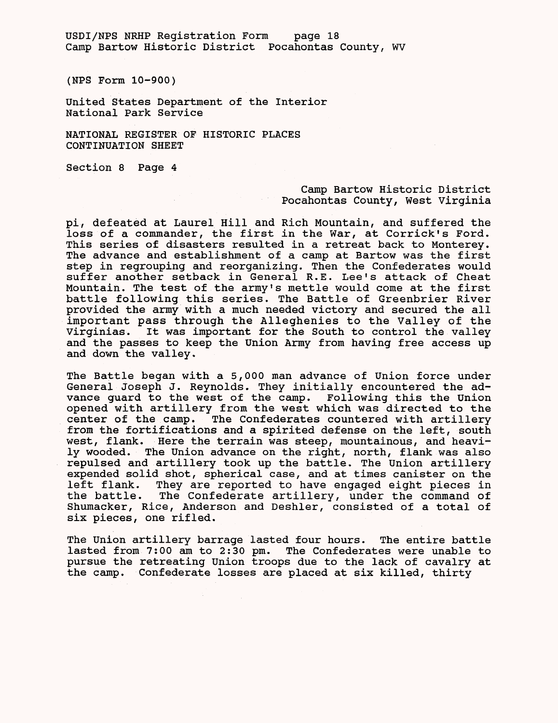USDI/NPS NRHP Registration Form page 18 Camp Bartow Historic District Pocahontas County, WV

(NPS Form 10-900)

United States Department of the Interior National Park Service

NATIONAL REGISTER OF HISTORIC PLACES CONTINUATION SHEET

Section 8 Page 4

# Camp Bartow Historic District Pocahontas County, West Virginia

pi, defeated at Laurel Hill and Rich Mountain, and suffered the loss of a commander, the first in the War, at Corrick's Ford. This series of disasters resulted in a retreat back to Monterey. The advance and establishment of a camp at Bartow was the first step in regrouping and reorganizing. Then the Confederates would suffer another setback in General R.E. Lee's attack of Cheat Mountain. The test of the army's mettle would come at the first battle following this series. The Battle of Greenbrier River provided the army with a much needed victory and secured the all important pass through the Alleghenies to the Valley of the Virginias. It was important for the South to control the valley and the passes to keep the Union Army from having free access up and down the valley.

The Battle began with a 5,000 man advance of Union force under General Joseph J. Reynolds. They initially encountered the advance guard to the west of the camp. Following this the Union opened with artillery from the west which was directed to the center of the camp. The Confederates countered with artillery from the fortifications and a spirited defense on the left, south west, flank. Here the terrain was steep, mountainous, and heavily wooded. The Union advance on the right, north, flank was also repulsed and artillery took up the battle. The Union artillery expended solid shot, spherical case, and at times canister on the left flank. They are reported to have engaged eight pieces in the battle. The Confederate artillery, under the command of Shumacker, Rice, Anderson and Deshler, consisted of a total of six pieces, one rifled.

The Union artillery barrage lasted four hours. The entire battle lasted from 7:00 am to 2:30 pm. The Confederates were unable to pursue the retreating Union troops due to the lack of cavalry at the camp. Confederate losses are placed at six killed, thirty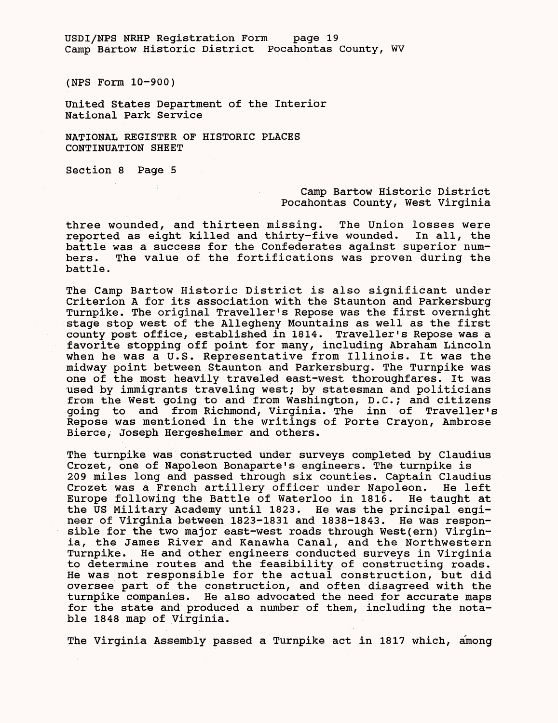USDI/NPS NRHP Registration Form page 19 Camp Bartow Historic District Pocahontas County, WV

(NPS Form 10-900)

United States Department of the Interior National Park Service

NATIONAL REGISTER OF HISTORIC PLACES CONTINUATION SHEET

Section 8 Page 5

# Camp Bartow Historic District Pocahontas County, West Virginia

three wounded, and thirteen missing. The Union losses were reported as eight killed and thirty-five wounded. In all, the battle was a success for the Confederates against superior numbers. The value of the fortifications was proven during the battle.

The Camp Bartow Historic District is also significant under Criterion A for its association with the Staunton and Parkersburg Turnpike. The original Traveller's Repose was the first overnight stage stop west of the Allegheny Mountains as well as the first county post office, established in 1814. Traveller's Repose was a favorite stopping off point for many, including Abraham Lincoln when he was a U.S. Representative from Illinois. It was the midway point between Staunton and Parkersburg. The Turnpike was one of the most heavily traveled east-west thoroughfares. It was used by immigrants traveling west; by statesman and politicians from the West going to and from Washington, D.C.; and citizens going to and from Richmond, Virginia. The inn of Traveller's Repose was mentioned in the writings of Porte Crayon, Ambrose Bierce, Joseph Hergesheimer and others.

The turnpike was constructed under surveys completed by Claudius Crozet, one of Napoleon Bonaparte's engineers. The turnpike is 209 miles long and passed through six counties. Captain Claudius Crozet was a French artillery officer under Napoleon. He left Europe following the Battle of Waterloo in 1816. He taught at the US Military Academy until 1823. He was the principal engineer of Virginia between 1823-1831 and 1838-1843. He was responsible for the two major east-west roads through West(ern) Virginia, the James River and Kanawha Canal, and the Northwestern Turnpike. He and other engineers conducted surveys in Virginia to determine routes and the feasibility of constructing roads. He was not responsible for the actual construction, but did oversee part of the construction, and often disagreed with the turnpike companies. He also advocated the need for accurate maps for the state and produced a number of them, including the notable 1848 map of Virginia.

The Virginia Assembly passed a Turnpike act in 1817 which, among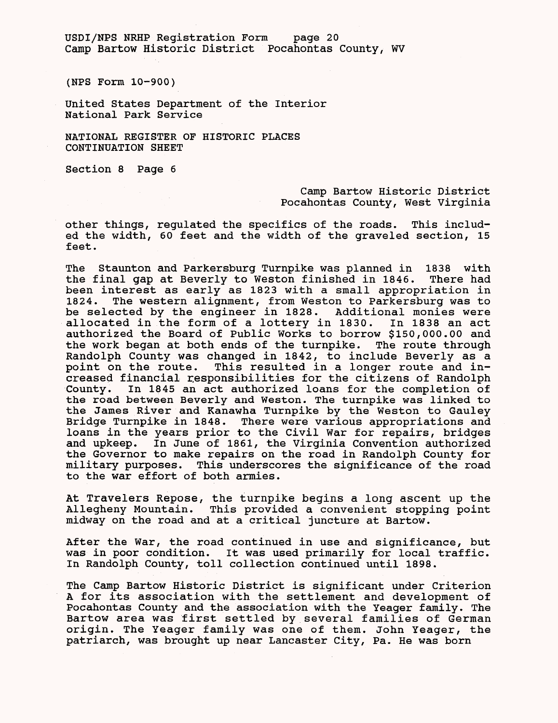USDI/NFS NRHP Registration Form page 20 Camp Bartow Historic District Pocahontas County, WV

(NFS Form 10-900)

United States Department of the Interior National Park Service

NATIONAL REGISTER OF HISTORIC PLACES CONTINUATION SHEET

Section 8 Page 6

Camp Bartow Historic District Pocahontas County, West Virginia

other things, regulated the specifics of the roads. This included the width, 60 feet and the width of the graveled section, 15 feet.

The Staunton and Parkersburg Turnpike was planned in 1838 with the final gap at Beverly to Weston finished in 1846. There had been interest as early as 1823 with a small appropriation in 1824. The western alignment, from Weston to Parkersburg was to be selected by the engineer in 1828. Additional monies were allocated in the form of a lottery in 1830. In 1838 an act authorized the Board of Public Works to borrow \$150,000.00 and the work began at both ends of the turnpike. The route through Randolph County was changed in 1842, to include Beverly as a point on the route. This resulted in a longer route and increased financial responsibilities for the citizens of Randolph County. In 1845 an act authorized loans for the completion of the road between Beverly and Weston. The turnpike was linked to the James River and Kanawha Turnpike by the Weston to Gauley Bridge Turnpike in 1848. There were various appropriations and loans in the years prior to the Civil War for repairs, bridges and upkeep. In June of 1861, the Virginia Convention authorized the Governor to make repairs on the road in Randolph County for military purposes. This underscores the significance of the road to the war effort of both armies.

At Travelers Repose, the turnpike begins a long ascent up the Allegheny Mountain. This provided a convenient stopping point midway on the road and at a critical juncture at Bartow.

After the War, the road continued in use and significance, but was in poor condition. It was used primarily for local traffic. In Randolph County, toll collection continued until 1898.

The Camp Bartow Historic District is significant under Criterion A for its association with the settlement and development of Pocahontas County and the association with the Yeager family. The Bartow area was first settled by several families of German origin. The Yeager family was one of them. John Yeager, the patriarch, was brought up near Lancaster City, Pa. He was born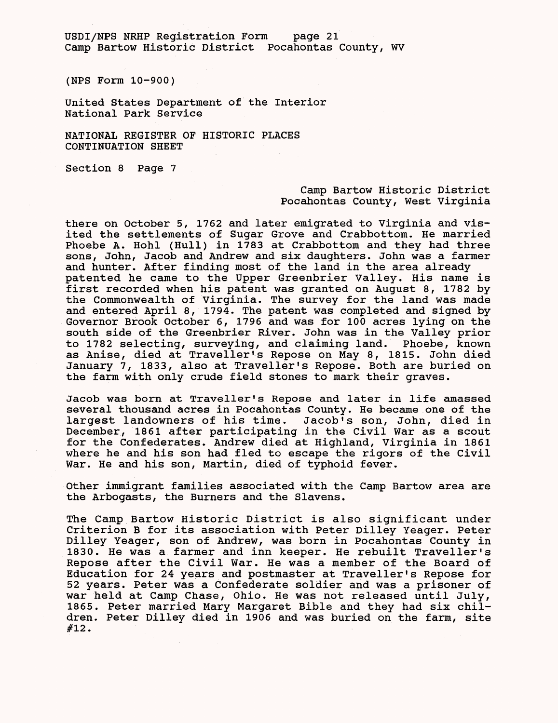USDI/NFS NRHP Registration Form page 21 Camp Bartow Historic District Pocahontas County, WV

(NFS Form 10-900)

United States Department of the Interior National Park Service

NATIONAL REGISTER OF HISTORIC PLACES CONTINUATION SHEET

Section 8 Page 7

### Camp Bartow Historic District Pocahontas County, West Virginia

there on October 5, 1762 and later emigrated to Virginia and visited the settlements of Sugar Grove and Crabbottom. He married Phoebe A. Hohl (Hull) in 1783 at Crabbottom and they had three sons, John, Jacob and Andrew and six daughters. John was a farmer and hunter. After finding most of the land in the area already patented he came to the Upper Greenbrier Valley. His name is first recorded when his patent was granted on August 8, 1782 by the Commonwealth of Virginia. The survey for the land was made and entered April 8, 1794. The patent was completed and signed by Governor Brook October 6, 1796 and was for 100 acres lying on the south side of the Greenbrier River. John was in the Valley prior to 1782 selecting, surveying, and claiming land. Phoebe, known as Anise, died at Traveller's Repose on May 8, 1815. John died January 7, 1833, also at Traveller's Repose. Both are buried on the farm with only crude field stones to mark their graves.

Jacob was born at Traveller's Repose and later in life amassed several thousand acres in Pocahontas County. He became one of the largest landowners of his time. Jacob's son, John, died in December, 1861 after participating in the Civil War as a scout for the Confederates. Andrew died at Highland, Virginia in 1861 where he and his son had fled to escape the rigors of the Civil War. He and his son, Martin, died of typhoid fever.

Other immigrant families associated with the Camp Bartow area are the Arbogasts, the Burners and the Slavens.

The Camp Bartow Historic District is also significant under Criterion B for its association with Peter Dilley Yeager. Peter Dilley Yeager, son of Andrew, was born in Pocahontas County in 1830. He was a farmer and inn keeper. He rebuilt Traveller's Repose after the Civil War. He was a member of the Board of Education for 24 years and postmaster at Traveller's Repose for 52 years. Peter was a Confederate soldier and was a prisoner of war held at Camp Chase, Ohio. He was not released until July, 1865. Peter married Mary Margaret Bible and they had six children. Peter Dilley died in 1906 and was buried on the farm, site #12.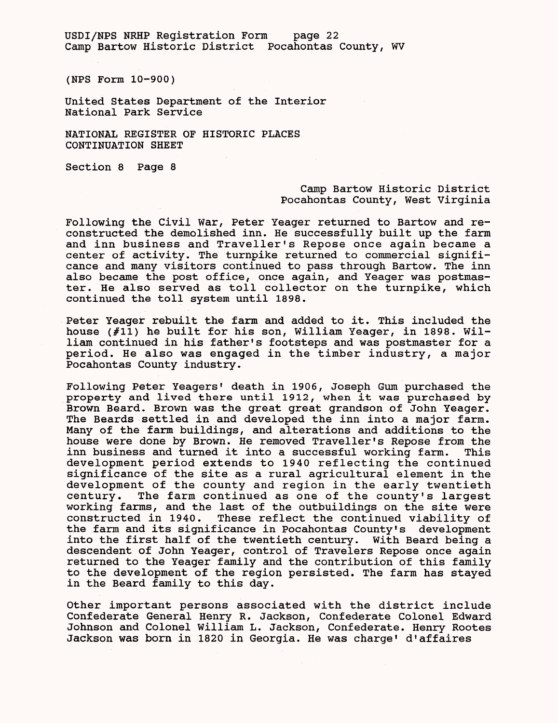USDI/NPS NRHP Registration Form page 22 Camp Bartow Historic District Pocahontas County, WV

(NPS Form 10-900)

United States Department of the Interior National Park Service

NATIONAL REGISTER OF HISTORIC PLACES CONTINUATION SHEET

Section 8 Page 8

# Camp Bartow Historic District Pocahontas County, West Virginia

Following the Civil War, Peter Yeager returned to Bartow and reconstructed the demolished inn. He successfully built up the farm and inn business and Traveller's Repose once again became a center of activity. The turnpike returned to commercial significance and many visitors continued to pass through Bartow. The inn also became the post office, once again, and Yeager was postmaster. He also served as toll collector on the turnpike, which continued the toll system until 1898.

Peter Yeager rebuilt the farm and added to it. This included the house (#11) he built for his son, William Yeager, in 1898. William continued in his father's footsteps and was postmaster for a period. He also was engaged in the timber industry, a major Pocahontas County industry.

Following Peter Yeagers' death in 1906, Joseph Gum purchased the property and lived there until 1912, when it was purchased by Brown Beard. Brown was the great great grandson of John Yeager. The Beards settled in and developed the inn into a major farm. Many of the farm buildings, and alterations and additions to the house were done by Brown. He removed Traveller's Repose from the inn business and turned it into a successful working farm. This development period extends to 1940 reflecting the continued significance of the site as a rural agricultural element in the development of the county and region in the early twentieth century. The farm continued as one of the county's largest working farms, and the last of the outbuildings on the site were constructed in 1940. These reflect the continued viability of the farm and its significance in Pocahontas County's development into the first half of the twentieth century. With Beard being a descendent of John Yeager, control of Travelers Repose once again returned to the Yeager family and the contribution of this family to the development of the region persisted. The farm has stayed in the Beard family to this day.

Other important persons associated with the district include Confederate General Henry R. Jackson, Confederate Colonel Edward Johnson and Colonel William L. Jackson, Confederate. Henry Rootes Jackson was born in 1820 in Georgia. He was charge' d'affaires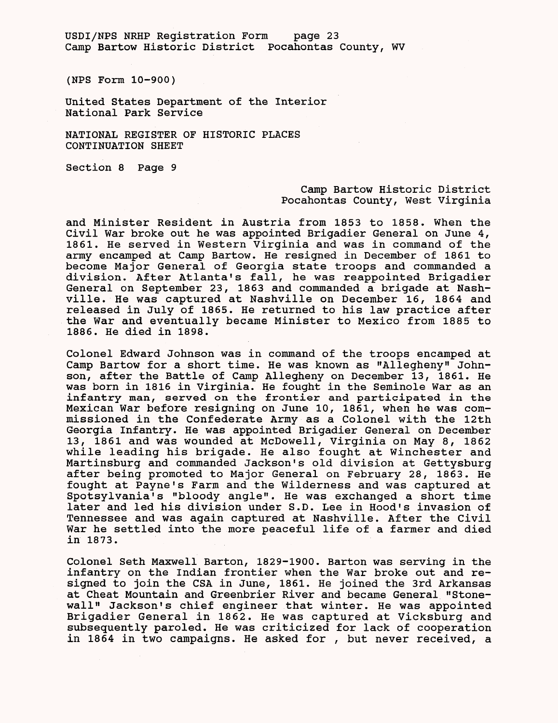USDI/NFS NRHP Registration Form page 23 Camp Bartow Historic District Pocahontas County, WV

(NFS Form 10-900)

United States Department of the Interior National Park Service

NATIONAL REGISTER OF HISTORIC PLACES CONTINUATION SHEET

Section 8 Page 9

# Camp Bartow Historic District Pocahontas County, West Virginia

and Minister Resident in Austria from 1853 to 1858. When the Civil War broke out he was appointed Brigadier General on June 4, 1861. He served in Western Virginia and was in command of the army encamped at Camp Bartow. He resigned in December of 1861 to become Major General of Georgia state troops and commanded a division. After Atlanta's fall, he was reappointed Brigadier General on September 23, 1863 and commanded a brigade at Nashville. He was captured at Nashville on December 16, 1864 and released in July of 1865. He returned to his law practice after the War and eventually became Minister to Mexico from 1885 to 1886. He died in 1898.

Colonel Edward Johnson was in command of the troops encamped at Camp Bartow for a short time. He was known as "Allegheny" Johnson, after the Battle of Camp Allegheny on December 13, 1861. He was born in 1816 in Virginia. He fought in the Seminole War as an infantry man, served on the frontier and participated in the Mexican War before resigning on June 10, 1861, when he was commissioned in the Confederate Army as a Colonel with the 12th Georgia Infantry. He was appointed Brigadier General on December 13, 1861 and was wounded at McDowell, Virginia on May 8, 1862 while leading his brigade. He also fought at Winchester and Martinsburg and commanded Jackson's old division at Gettysburg after being promoted to Major General on February 28, 1863. He fought at Payne's Farm and the Wilderness and was captured at Spotsylvania's "bloody angle". He was exchanged a short time later and led his division under S.D. Lee in Hood's invasion of Tennessee and was again captured at Nashville. After the Civil War he settled into the more peaceful life of a farmer and died in 1873.

Colonel Seth Maxwell Barton, 1829-1900. Barton was serving in the infantry on the Indian frontier when the War broke out and resigned to join the CSA in June, 1861. He joined the 3rd Arkansas at Cheat Mountain and Greenbrier River and became General "Stonewall" Jackson's chief engineer that winter. He was appointed Brigadier General in 1862. He was captured at Vicksburg and subsequently paroled. He was criticized for lack of cooperation in 1864 in two campaigns. He asked for , but never received, a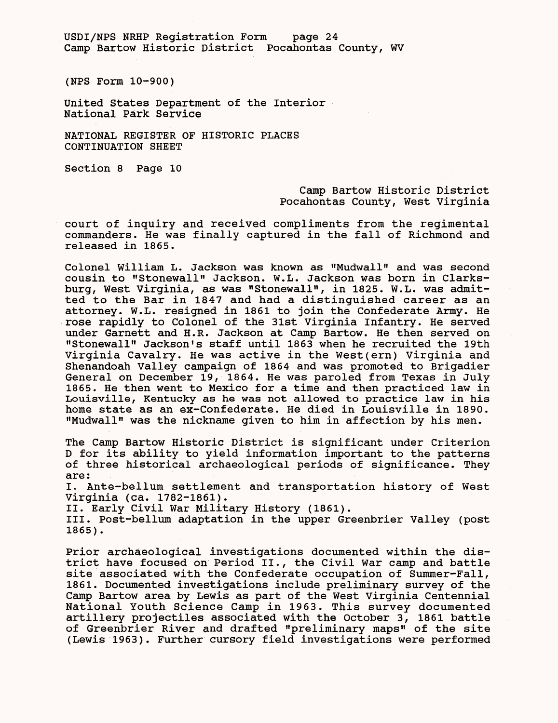USDI/NPS NRHP Registration Form page 24 Camp Bartow Historic District Pocahontas County, WV

(NPS Form 10-900)

United States Department of the Interior National Park Service

NATIONAL REGISTER OF HISTORIC PLACES CONTINUATION SHEET

Section 8 Page 10

# Camp Bartow Historic District Pocahontas County, West Virginia

court of inquiry and received compliments from the regimental commanders. He was finally captured in the fall of Richmond and released in 1865.

Colonel William L. Jackson was known as "Mudwall" and was second cousin to "Stonewall" Jackson. W.L. Jackson was born in Clarksburg, West Virginia, as was "Stonewall", in 1825. W.L. was admitted to the Bar in 1847 and had a distinguished career as an attorney. W.L. resigned in 1861 to join the Confederate Army. He rose rapidly to Colonel of the 31st Virginia Infantry. He served under Garnett and H.R. Jackson at Camp Bartow. He then served on "Stonewall" Jackson's staff until 1863 when he recruited the 19th Virginia Cavalry. He was active in the West(ern) Virginia and Shenandoah Valley campaign of 1864 and was promoted to Brigadier General on December 19, 1864. He was paroled from Texas in July 1865. He then went to Mexico for a time and then practiced law in Louisville, Kentucky as he was not allowed to practice law in his home state as an ex-Confederate. He died in Louisville in 1890. "Mudwall" was the nickname given to him in affection by his men.

The Camp Bartow Historic District is significant under Criterion D for its ability to yield information important to the patterns of three historical archaeological periods of significance. They are:

I. Ante-bellum settlement and transportation history of West Virginia (ca. 1782-1861).

II. Early Civil War Military History (1861).

III. Post-bellum adaptation in the upper Greenbrier Valley (post 1865).

Prior archaeological investigations documented within the district have focused on Period II., the Civil War camp and battle site associated with the Confederate occupation of Summer-Fall, 1861. Documented investigations include preliminary survey of the Camp Bartow area by Lewis as part of the West Virginia Centennial National Youth Science Camp in 1963. This survey documented artillery projectiles associated with the October 3, 1861 battle of Greenbrier River and drafted "preliminary maps" of the site (Lewis 1963). Further cursory field investigations were performed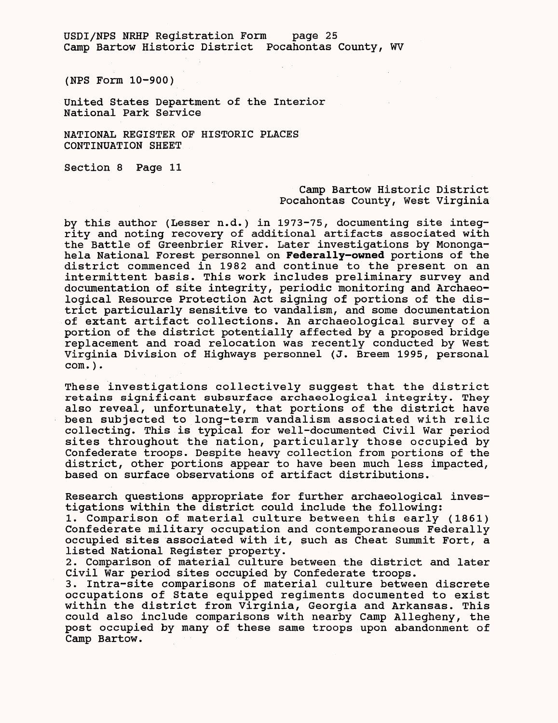USDI/NPS NRHP Registration Form page 25 Camp Bartow Historic District Pocahontas County, WV

(NPS Form 10-900)

United States Department of the Interior National Park Service

NATIONAL REGISTER OF HISTORIC PLACES CONTINUATION SHEET

Section 8 Page 11

#### Camp Bartow Historic District Pocahontas County, West Virginia

by this author (Lesser n.d.) in 1973-75, documenting site integrity and noting recovery of additional artifacts associated with the Battle of Greenbrier River. Later investigations by Monongahela National Forest personnel on **Federally-owned** portions of the district commenced in 1982 and continue to the present on an intermittent basis. This work includes preliminary survey and documentation of site integrity, periodic monitoring and Archaeological Resource Protection Act signing of portions of the district particularly sensitive to vandalism, and some documentation of extant artifact collections. An archaeological survey of a portion of the district potentially affected by a proposed bridge replacement and road relocation was recently conducted by West Virginia Division of Highways personnel (J. Breem 1995, personal com.).

These investigations collectively suggest that the district retains significant subsurface archaeological integrity. They also reveal, unfortunately, that portions of the district have been subjected to long-term vandalism associated with relic collecting. This is typical for well-documented Civil War period sites throughout the nation, particularly those occupied by Confederate troops. Despite heavy collection from portions of the district, other portions appear to have been much less impacted, based on surface observations of artifact distributions.

Research questions appropriate for further archaeological investigations within the district could include the following:

1. Comparison of material culture between this early (1861) Confederate military occupation and contemporaneous Federally occupied sites associated with it, such as Cheat Summit Fort, a listed National Register property.

2. Comparison of material culture between the district and later Civil War period sites occupied by Confederate troops.

3. Intra-site comparisons of material culture between discrete occupations of State equipped regiments documented to exist within the district from Virginia, Georgia and Arkansas. This could also include comparisons with nearby Camp Allegheny, the post occupied by many of these same troops upon abandonment of Camp Bartow.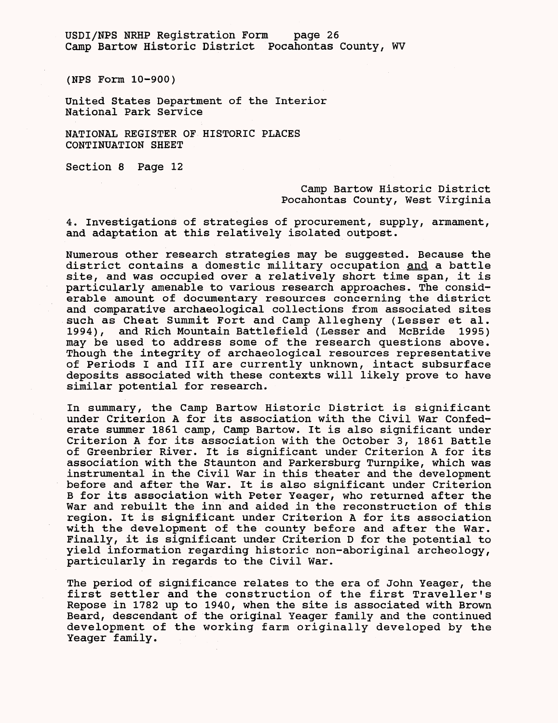USDI/NFS NRHP Registration Form page 26 Camp Bartow Historic District Pocahontas County, WV

(NFS Form 10-900)

United States Department of the Interior National Park Service

NATIONAL REGISTER OF HISTORIC PLACES CONTINUATION SHEET

Section 8 Page 12

Camp Bartow Historic District Pocahontas County, West Virginia

4. Investigations of strategies of procurement, supply, armament, and adaptation at this relatively isolated outpost.

Numerous other research strategies may be suggested. Because the district contains a domestic military occupation and a battle site, and was occupied over a relatively short time span, it is particularly amenable to various research approaches. The considerable amount of documentary resources concerning the district and comparative archaeological collections from associated sites such as Cheat Summit Fort and Camp Allegheny (Lesser et al. 1994), and Rich Mountain Battlefield (Lesser and McBride 1995) may be used to address some of the research questions above. Though the integrity of archaeological resources representative of Periods I and III are currently unknown, intact subsurface deposits associated with these contexts will likely prove to have similar potential for research.

In summary, the Camp Bartow Historic District is significant under Criterion A for its association with the Civil War Confederate summer 1861 camp, Camp Bartow. It is also significant under Criterion A for its association with the October 3, 1861 Battle of Greenbrier River. It is significant under Criterion A for its association with the Staunton and Parkersburg Turnpike, which was instrumental in the Civil War in this theater and the development before and after the War. It is also significant under Criterion B for its association with Peter Yeager, who returned after the War and rebuilt the inn and aided in the reconstruction of this region. It is significant under Criterion A for its association with the development of the county before and after the War. Finally, it is significant under Criterion D for the potential to yield information regarding historic non-aboriginal archeology, particularly in regards to the Civil War.

The period of significance relates to the era of John Yeager, the first settler and the construction of the first Traveller's Repose in 1782 up to 1940, when the site is associated with Brown Beard, descendant of the original Yeager family and the continued development of the working farm originally developed by the Yeager family.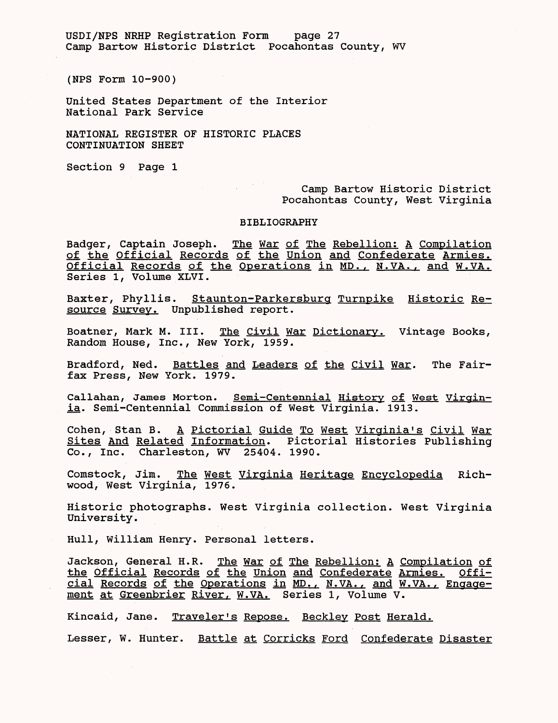USDI/NPS NRHP Registration Form page 27 Camp Bartow Historic District Pocahontas County, WV

(NPS Form 10-900)

United States Department of the Interior National Park Service

NATIONAL REGISTER OF HISTORIC PLACES CONTINUATION SHEET

Section 9 Page 1

# Camp Bartow Historic District Pocahontas County, West Virginia

#### BIBLIOGRAPHY

 $\label{eq:2.1} \frac{1}{\sqrt{2}}\int_{\mathbb{R}^{3}}\left|\frac{d\mathbf{y}}{d\mathbf{x}}\right|^{2}d\mathbf{x}^{2}d\mathbf{x}^{2}d\mathbf{x}^{2}d\mathbf{x}^{2}d\mathbf{x}^{2}d\mathbf{x}^{2}d\mathbf{x}^{2}d\mathbf{x}^{2}d\mathbf{x}^{2}d\mathbf{x}^{2}d\mathbf{x}^{2}d\mathbf{x}^{2}d\mathbf{x}^{2}d\mathbf{x}^{2}d\mathbf{x}^{2}d\mathbf{x}^{2}d\mathbf{x}^{2}d\mathbf{x}^{2}d\$ 

Badger, Captain Joseph. The War of The Rebellion; A Compilation of the Official Records of the Union and Confederate Armies. Official Records of the Operations in MD., N.VA., and W.VA. Series 1, Volume XLVI.

Baxter, Phyllis. Staunton-Parkersburg Turnpike Historic Resource Survey. Unpublished report.

Boatner, Mark M. III. The Civil War Dictionary. Vintage Books, Random House, Inc., New York, 1959.

Bradford, Ned. Battles and Leaders of the Civil War. The Fairfax Press, New York. 1979.

Callahan, James Morton. Semi-Centennial History of West Virginia. Semi-Centennial Commission of West Virginia. 1913.

Cohen, Stan B. A Pictorial Guide To West Virginia's Civil War Sites And Related Information. Pictorial Histories Publishing Co., Inc. Charleston, WV 25404. 1990.

Comstock, Jim. The West Virginia Heritage Encyclopedia Richwood, West Virginia, 1976.

Historic photographs. West Virginia collection. West Virginia University.

Hull, William Henry. Personal letters.

Jackson, General H.R. The War of The Rebellion: A Compilation of the Official Records of the Union and Confederate Armies. Official Records of the Operations in MD., N.VA., and W.VA. *.* Engagement at Greenbrier River, W.VA. Series 1, Volume V.

Kincaid, Jane. Traveler's Repose. Beckley Post Herald.

Lesser, W. Hunter. Battle at Corricks Ford Confederate Disaster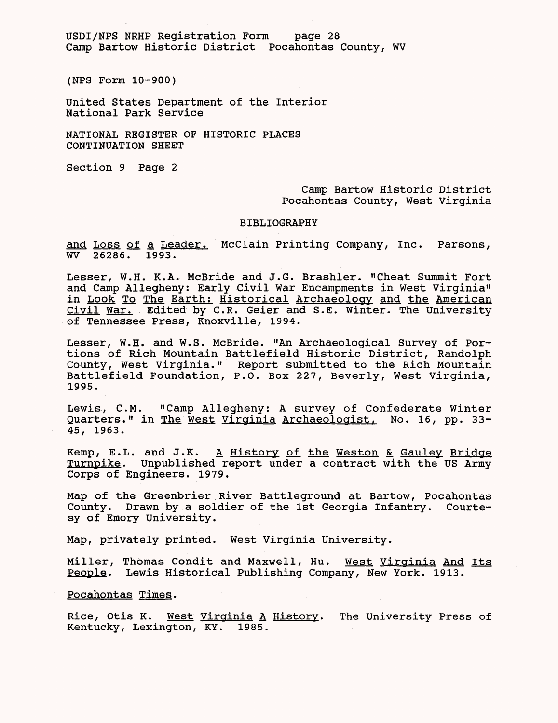USDI/NPS NRHP Registration Form page 28 Camp Bartow Historic District Pocahontas County, WV

(NPS Form 10-900)

United States Department of the Interior National Park Service

NATIONAL REGISTER OF HISTORIC PLACES CONTINUATION SHEET

Section 9 Page 2

Camp Bartow Historic District Pocahontas County, West Virginia

#### BIBLIOGRAPHY

and Loss of a Leader. McClain Printing Company, Inc. Parsons, WV 26286. 1993.

Lesser, W.H. K.A. McBride and J.G. Brashler. "Cheat Summit Fort and Camp Allegheny: Early Civil War Encampments in West Virginia" in Look To The Earth: Historical Archaeology and the American Civil War. Edited by C.R. Geier and S.E. Winter. The University of Tennessee Press, Knoxville, 1994.

Lesser, W.H. and W.S. McBride. "An Archaeological Survey of Portions of Rich Mountain Battlefield Historic District, Randolph County, West Virginia." Report submitted to the Rich Mountain Battlefield Foundation, P.O. Box 227, Beverly, West Virginia, 1995.

Lewis, C.M. "Camp Allegheny: A survey of Confederate Winter Quarters." in The West Virginia Archaeologist. No. 16, pp. 33- 45, 1963.

Kemp, E.L. and J.K. A History of the Weston & Gauley Bridge Turnpike. Unpublished report under a contract with the US Army Corps of Engineers. 1979.

Map of the Greenbrier River Battleground at Bartow, Pocahontas County. Drawn by a soldier of the 1st Georgia Infantry. Courtesy of Emory University.

Map, privately printed. West Virginia University.

Miller, Thomas Condit and Maxwell, Hu. West Virginia And Its People. Lewis Historical Publishing Company, New York. 1913.

Pocahontas Times.

Rice, Otis K. West Virginia A History. The University Press of Kentucky, Lexington, KY. 1985.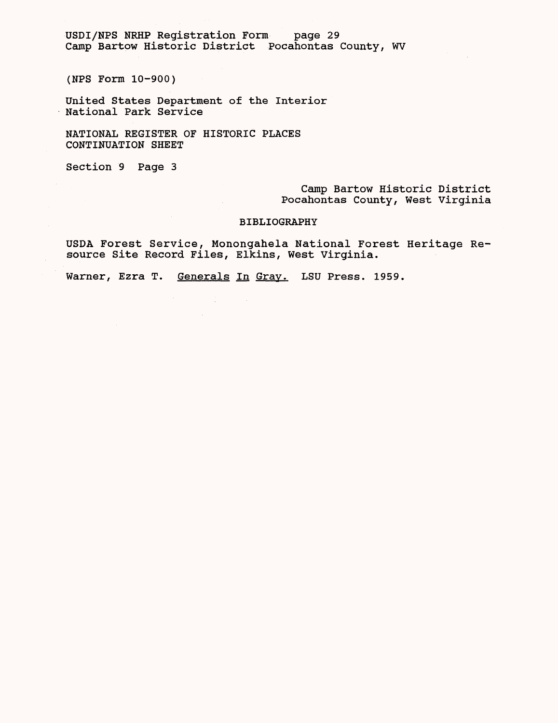USDI/NPS NRHP Registration Form page 29 Camp Bartow Historic District Pocahontas County, WV

(NPS Form 10-900)

United States Department of the Interior National Park Service

NATIONAL REGISTER OF HISTORIC PLACES CONTINUATION SHEET

 $\sim 10^{-1}$ 

Section 9 Page 3

Camp Bartow Historic District Pocahontas County, West Virginia

### BIBLIOGRAPHY

USDA Forest Service, Monongahela National Forest Heritage Resource Site Record Files, Elkins, West Virginia.

Warner, Ezra T. Generals In Gray. LSU Press. 1959.

 $\label{eq:2.1} \frac{1}{\sqrt{2}}\left(\frac{1}{\sqrt{2}}\right)^{2} \left(\frac{1}{\sqrt{2}}\right)^{2} \left(\frac{1}{\sqrt{2}}\right)^{2} \left(\frac{1}{\sqrt{2}}\right)^{2} \left(\frac{1}{\sqrt{2}}\right)^{2} \left(\frac{1}{\sqrt{2}}\right)^{2} \left(\frac{1}{\sqrt{2}}\right)^{2} \left(\frac{1}{\sqrt{2}}\right)^{2} \left(\frac{1}{\sqrt{2}}\right)^{2} \left(\frac{1}{\sqrt{2}}\right)^{2} \left(\frac{1}{\sqrt{2}}\right)^{2} \left(\$ 

 $\sim 10^{-11}$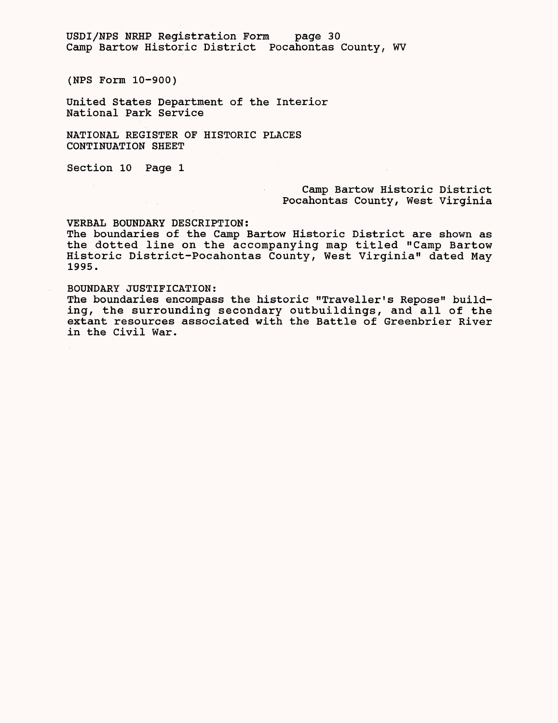USDI/NPS NRHP Registration Form page 30 Camp Bartow Historic District Pocahontas County, WV

(NPS Form 10-900)

United States Department of the Interior National Park Service

NATIONAL REGISTER OF HISTORIC PLACES CONTINUATION SHEET

Section 10 Page 1

# Camp Bartow Historic District Pocahontas County, West Virginia

#### VERBAL BOUNDARY DESCRIPTION:

The boundaries of the Camp Bartow Historic District are shown as the dotted line on the accompanying map titled "Camp Bartow Historic District-Pocahontas County, West Virginia" dated May 1995.

 $\sim 10^{-11}$ 

### BOUNDARY JUSTIFICATION:

The boundaries encompass the historic "Traveller's Repose" building, the surrounding secondary outbuildings, and all of the extant resources associated with the Battle of Greenbrier River in the Civil War.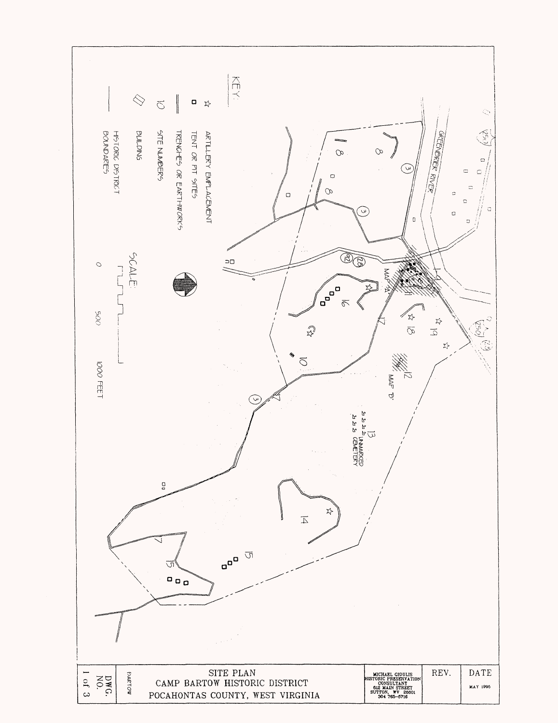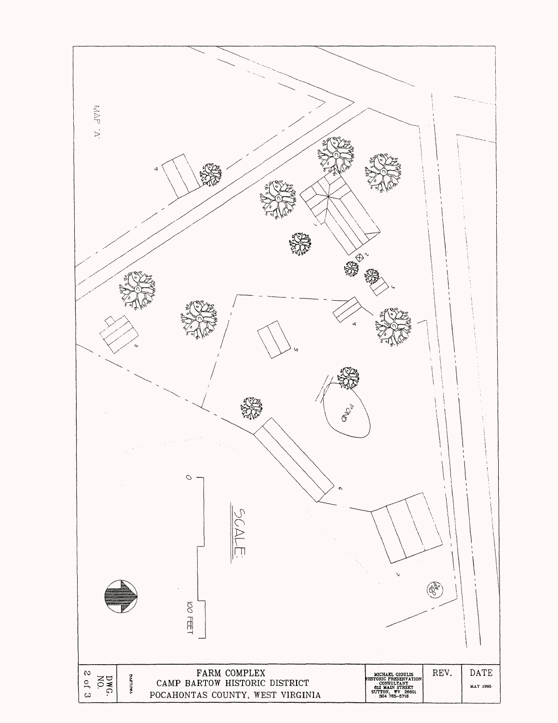![](_page_31_Figure_0.jpeg)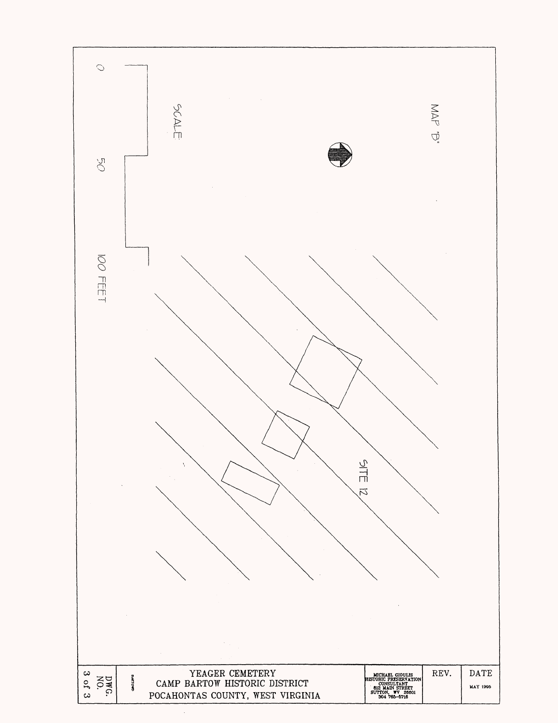![](_page_32_Figure_0.jpeg)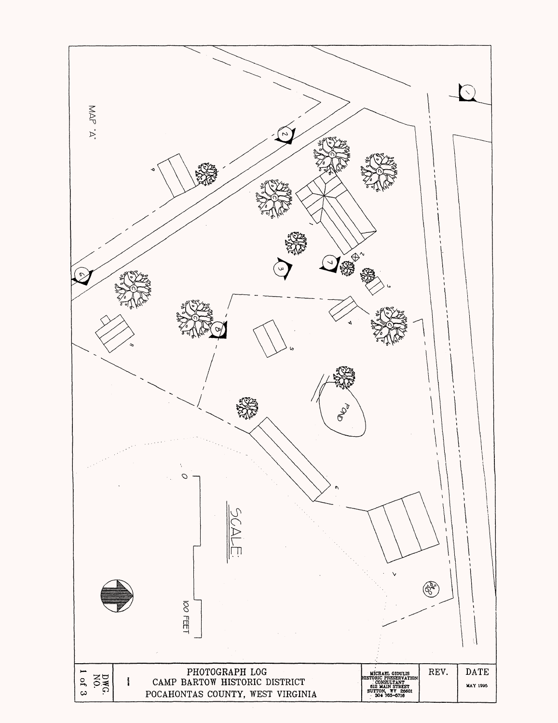![](_page_33_Figure_0.jpeg)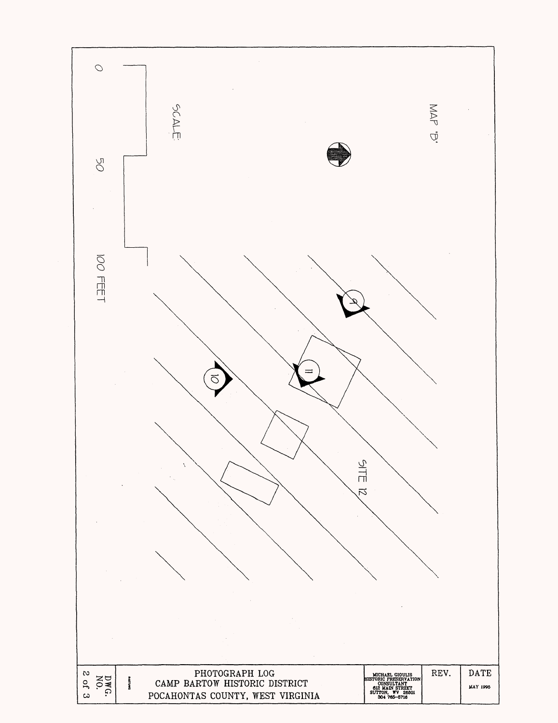![](_page_34_Figure_0.jpeg)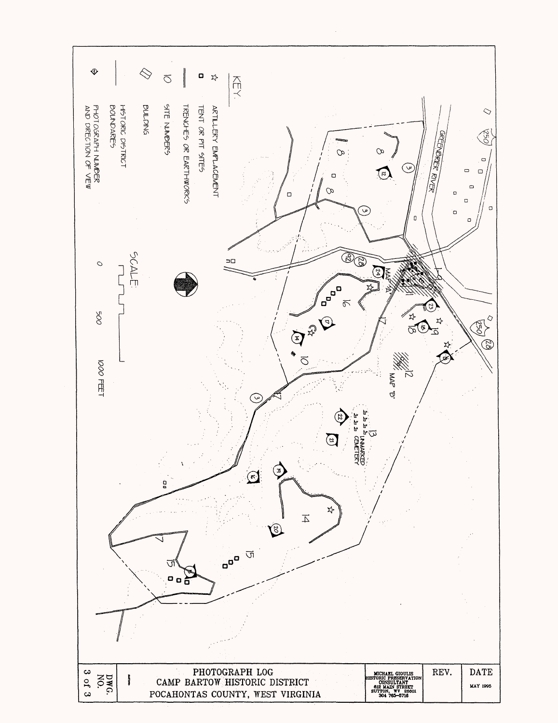![](_page_35_Figure_0.jpeg)